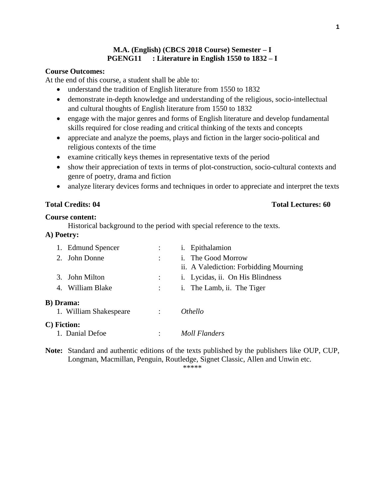# **M.A. (English) (CBCS 2018 Course) Semester – I PGENG11 : Literature in English 1550 to 1832 – I**

# **Course Outcomes:**

At the end of this course, a student shall be able to:

- understand the tradition of English literature from 1550 to 1832
- demonstrate in-depth knowledge and understanding of the religious, socio-intellectual and cultural thoughts of English literature from 1550 to 1832
- engage with the major genres and forms of English literature and develop fundamental skills required for close reading and critical thinking of the texts and concepts
- appreciate and analyze the poems, plays and fiction in the larger socio-political and religious contexts of the time
- examine critically keys themes in representative texts of the period
- show their appreciation of texts in terms of plot-construction, socio-cultural contexts and genre of poetry, drama and fiction
- analyze literary devices forms and techniques in order to appreciate and interpret the texts

# **Total Credits: 04 Total Lectures: 60**

### **Course content:**

Historical background to the period with special reference to the texts.

# **A) Poetry:**

| 1. Edmund Spencer      |                | i. Epithalamion                                              |
|------------------------|----------------|--------------------------------------------------------------|
| 2. John Donne          | $\ddot{\cdot}$ | i. The Good Morrow<br>ii. A Valediction: Forbidding Mourning |
| 3. John Milton         |                | i. Lycidas, ii. On His Blindness                             |
| 4. William Blake       |                | i. The Lamb, ii. The Tiger                                   |
| <b>B</b> ) Drama:      |                |                                                              |
| 1. William Shakespeare |                | <i>Othello</i>                                               |
| C) Fiction:            |                |                                                              |
| 1. Danial Defoe        | ٠              | <b>Moll Flanders</b>                                         |

**Note:** Standard and authentic editions of the texts published by the publishers like OUP, CUP, Longman, Macmillan, Penguin, Routledge, Signet Classic, Allen and Unwin etc.

\*\*\*\*\*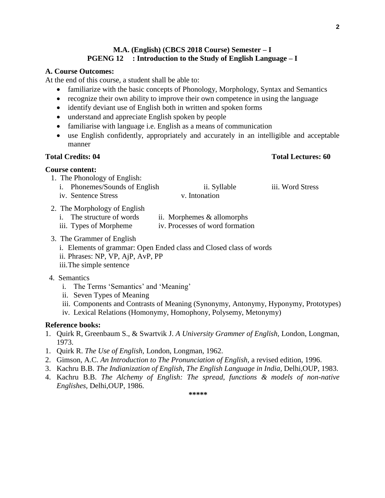# **M.A. (English) (CBCS 2018 Course) Semester – I PGENG 12 : Introduction to the Study of English Language – I**

# **A. Course Outcomes:**

At the end of this course, a student shall be able to:

- familiarize with the basic concepts of Phonology, Morphology, Syntax and Semantics
- recognize their own ability to improve their own competence in using the language
- identify deviant use of English both in written and spoken forms
- understand and appreciate English spoken by people
- familiarise with language i.e. English as a means of communication
- use English confidently, appropriately and accurately in an intelligible and acceptable manner

# **Course content:**

- 1. The Phonology of English:
	- i. Phonemes/Sounds of English ii. Syllable iii. Word Stress
	- iv. Sentence Stress v. Intonation
- 2. The Morphology of English
	- i. The structure of words ii. Morphemes  $&$  allomorphs
	- iii. Types of Morpheme iv. Processes of word formation
- 3. The Grammer of English
	- i. Elements of grammar: Open Ended class and Closed class of words
	- ii. Phrases: NP, VP, AjP, AvP, PP
	- iii.The simple sentence
- 4. Semantics
	- i. The Terms 'Semantics' and 'Meaning'
	- ii. Seven Types of Meaning
	- iii. Components and Contrasts of Meaning (Synonymy, Antonymy, Hyponymy, Prototypes)
	- iv. Lexical Relations (Homonymy, Homophony, Polysemy, Metonymy)

### **Reference books:**

- 1. Quirk R, Greenbaum S., & Swartvik J. *A University Grammer of English,* London, Longman, 1973.
- 1. Quirk R. *The Use of English,* London, Longman, 1962.
- 2. Gimson, A.C. *An Introduction to The Pronunciation of English,* a revised edition, 1996.
- 3. Kachru B.B. *The Indianization of English, The English Language in India,* Delhi,OUP, 1983.
- 4. Kachru B.B. *The Alchemy of English: The spread, functions & models of non-native Englishes,* Delhi,OUP, 1986.

**\*\*\*\*\***

### **Total Credits: 04 Total Lectures: 60**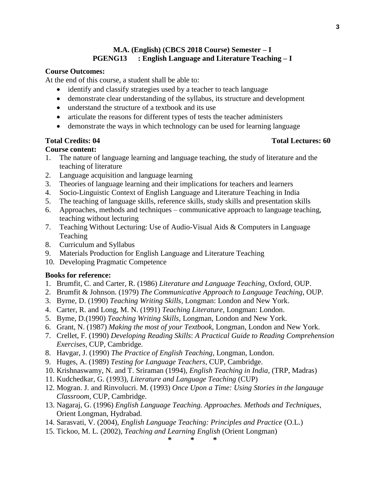# **M.A. (English) (CBCS 2018 Course) Semester – I PGENG13 : English Language and Literature Teaching – I**

# **Course Outcomes:**

At the end of this course, a student shall be able to:

- identify and classify strategies used by a teacher to teach language
- demonstrate clear understanding of the syllabus, its structure and development
- understand the structure of a textbook and its use
- articulate the reasons for different types of tests the teacher administers
- demonstrate the ways in which technology can be used for learning language

### **Total Credits: 04 Total Lectures: 60**

### **Course content:**

- 1. The nature of language learning and language teaching, the study of literature and the teaching of literature
- 2. Language acquisition and language learning
- 3. Theories of language learning and their implications for teachers and learners
- 4. Socio-Linguistic Context of English Language and Literature Teaching in India
- 5. The teaching of language skills, reference skills, study skills and presentation skills
- 6. Approaches, methods and techniques communicative approach to language teaching, teaching without lecturing
- 7. Teaching Without Lecturing: Use of Audio-Visual Aids & Computers in Language Teaching
- 8. Curriculum and Syllabus
- 9. Materials Production for English Language and Literature Teaching
- 10. Developing Pragmatic Competence

## **Books for reference:**

- 1. Brumfit, C. and Carter, R. (1986) *Literature and Language Teaching,* Oxford, OUP.
- 2. Brumfit & Johnson. (1979) *The Communicative Approach to Language Teaching*, OUP.
- 3. Byrne, D. (1990) *Teaching Writing Skills*, Longman: London and New York.
- 4. Carter, R. and Long, M. N. (1991) *Teaching Literature*, Longman: London.
- 5. Byme, D.(1990) *Teaching Writing Skills*, Longman, London and New York.
- 6. Grant, N. (1987) *Making the most of your Textbook*, Longman, London and New York.
- 7. Crellet, F. (1990) *Developing Reading Skills*: *A Practical Guide to Reading Comprehension Exercises*, CUP, Cambridge.
- 8. Havgar, J. (1990) *The Practice of English Teaching*, Longman, London.
- 9. Huges, A. (1989) *Testing for Language Teachers*, CUP, Cambridge.
- 10. Krishnaswamy, N. and T. Sriraman (1994), *English Teaching in India*, (TRP, Madras)
- 11. Kudchedkar, G. (1993), *Literature and Language Teaching* (CUP)
- 12. Mogran. J. and Rinvolucri. M. (1993) *Once Upon a Time: Using Stories in the langauge Classroom*, CUP, Cambridge.
- 13. Nagaraj, G. (1996) *English Language Teaching. Approaches. Methods and Techniques*, Orient Longman, Hydrabad.
- 14. Sarasvati, V. (2004), *English Language Teaching: Principles and Practice* (O.L.)
- 15. Tickoo, M. L. (2002), *Teaching and Learning English* (Orient Longman)

**\* \* \***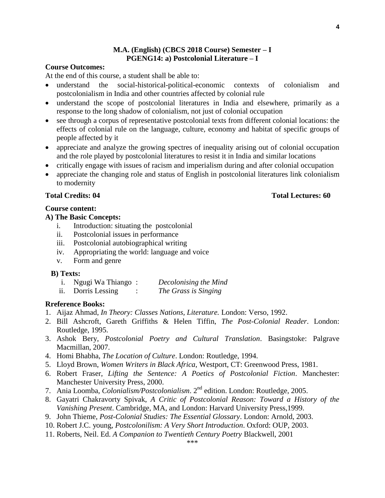# **M.A. (English) (CBCS 2018 Course) Semester – I PGENG14: a) Postcolonial Literature – I**

### **Course Outcomes:**

At the end of this course, a student shall be able to:

- understand the social-historical-political-economic contexts of colonialism and postcolonialism in India and other countries affected by colonial rule
- understand the scope of postcolonial literatures in India and elsewhere, primarily as a response to the long shadow of colonialism, not just of colonial occupation
- see through a corpus of representative postcolonial texts from different colonial locations: the effects of colonial rule on the language, culture, economy and habitat of specific groups of people affected by it
- appreciate and analyze the growing spectres of inequality arising out of colonial occupation and the role played by postcolonial literatures to resist it in India and similar locations
- critically engage with issues of racism and imperialism during and after colonial occupation
- appreciate the changing role and status of English in postcolonial literatures link colonialism to modernity

### **Total Credits: 04 Total Lectures: 60**

### **Course content:**

# **A) The Basic Concepts:**

- i. Introduction: situating the postcolonial
- ii. Postcolonial issues in performance
- iii. Postcolonial autobiographical writing
- iv. Appropriating the world: language and voice
- v. Form and genre

### **B) Texts:**

- i. Ngugi Wa Thiango : *Decolonising the Mind*
- ii. Dorris Lessing : *The Grass is Singing*

### **Rreference Books:**

- 1. Aijaz Ahmad, *In Theory: Classes Nations, Literature.* London: Verso, 1992.
- 2. Bill Ashcroft, Gareth Griffiths & Helen Tiffin, *The Post-Colonial Reader*. London: Routledge, 1995.
- 3. Ashok Bery, *Postcolonial Poetry and Cultural Translation*. Basingstoke: Palgrave Macmillan, 2007.
- 4. Homi Bhabha, *The Location of Culture*. London: Routledge, 1994.
- 5. Lloyd Brown, *Women Writers in Black Africa*, Westport, CT: Greenwood Press, 1981.
- 6. Robert Fraser, *Lifting the Sentence: A Poetics of Postcolonial Fiction*. Manchester: Manchester University Press, 2000.
- 7. Ania Loomba, *Colonialism/Postcolonialism*. 2nd edition. London: Routledge, 2005.
- 8. Gayatri Chakravorty Spivak, *A Critic of Postcolonial Reason: Toward a History of the Vanishing Present*. Cambridge, MA, and London: Harvard University Press,1999.
- 9. John Thieme, *Post-Colonial Studies: The Essential Glossary*. London: Arnold, 2003.
- 10. Robert J.C. young, *Postcolonilism: A Very Short Introduction*. Oxford: OUP, 2003.
- 11. Roberts, Neil. Ed. *A Companion to Twentieth Century Poetry* Blackwell, 2001

**4**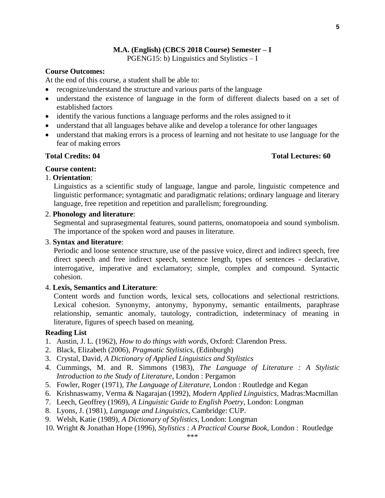### **M.A. (English) (CBCS 2018 Course) Semester – I**

PGENG15: b) Linguistics and Stylistics – I

### **Course Outcomes:**

At the end of this course, a student shall be able to:

- recognize/understand the structure and various parts of the language
- understand the existence of language in the form of different dialects based on a set of established factors
- identify the various functions a language performs and the roles assigned to it
- understand that all languages behave alike and develop a tolerance for other languages
- understand that making errors is a process of learning and not hesitate to use language for the fear of making errors

### **Total Credits: 04 Total Lectures: 60**

# **Course content:**

# 1. **Orientation**:

Linguistics as a scientific study of language, langue and parole, linguistic competence and linguistic performance; syntagmatic and paradigmatic relations; ordinary language and literary language, free repetition and repetition and parallelism; foregrounding.

# 2. **Phonology and literature**:

Segmental and suprasegmental features, sound patterns, onomatopoeia and sound symbolism. The importance of the spoken word and pauses in literature.

### 3. **Syntax and literature**:

Periodic and loose sentence structure, use of the passive voice, direct and indirect speech, free direct speech and free indirect speech, sentence length, types of sentences - declarative, interrogative, imperative and exclamatory; simple, complex and compound. Syntactic cohesion.

### 4. **Lexis, Semantics and Literature**:

Content words and function words, lexical sets, collocations and selectional restrictions. Lexical cohesion. Synonymy, antonymy, hyponymy, semantic entailments, paraphrase relationship, semantic anomaly, tautology, contradiction, indeterminacy of meaning in literature, figures of speech based on meaning.

### **Reading List**

- 1. Austin, J. L. (1962), *How to do things with words*, Oxford: Clarendon Press.
- 2. Black, Elizabeth (2006), *Pragmatic Stylistics*, (Edinburgh)
- 3. Crystal, David, *A Dictionary of Applied Linguistics and Stylistics*
- 4. Cummings, M. and R. Simmons (1983), *The Language of Literature : A Stylistic Introduction to the Study of Literature*, London : Pergamon
- 5. Fowler, Roger (1971), *The Language of Literature*, London : Routledge and Kegan
- 6. Krishnaswamy, Verma & Nagarajan (1992), *Modern Applied Linguistics*, Madras:Macmillan
- 7. Leech, Geoffrey (1969), *A Linguistic Guide to English Poetry*, London: Longman
- 8. Lyons, J. (1981), *Language and Linguistics*, Cambridge: CUP.
- 9. Welsh, Katie (1989), *A Dictionary of Stylistics*, London: Longman
- 10. Wright & Jonathan Hope (1996), *Stylistics : A Practical Course Book*, London : Routledge

**5**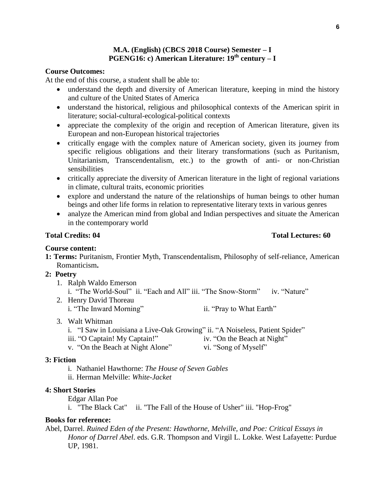# **M.A. (English) (CBCS 2018 Course) Semester – I PGENG16: c) American Literature: 19th century – I**

# **Course Outcomes:**

At the end of this course, a student shall be able to:

- understand the depth and diversity of American literature, keeping in mind the history and culture of the United States of America
- understand the historical, religious and philosophical contexts of the American spirit in literature; social-cultural-ecological-political contexts
- appreciate the complexity of the origin and reception of American literature, given its European and non-European historical trajectories
- critically engage with the complex nature of American society, given its journey from specific religious obligations and their literary transformations (such as Puritanism, Unitarianism, Transcendentalism, etc.) to the growth of anti- or non-Christian sensibilities
- critically appreciate the diversity of American literature in the light of regional variations in climate, cultural traits, economic priorities
- explore and understand the nature of the relationships of human beings to other human beings and other life forms in relation to representative literary texts in various genres
- analyze the American mind from global and Indian perspectives and situate the American in the contemporary world

# **Course content:**

**1: Terms:** Puritanism, Frontier Myth, Transcendentalism, Philosophy of self-reliance, American Romanticism**.**

### **2: Poetry**

- 1. Ralph Waldo Emerson
	- i. "The World-Soul" ii. "Each and All" iii. "The Snow-Storm" iv. "Nature"
- 2. Henry David Thoreau i. "The Inward Morning" ii. "Pray to What Earth"
- 3. Walt Whitman
	- i. ["I Saw in Louisiana a Live-Oak Growing"](http://www.poetry-archive.com/w/i_saw_in_louisiana.html) ii. ["A Noiseless, Patient Spider"](http://www.poetry-archive.com/w/a_noiseless_patient_spider.html)
	- iii. ["O Captain! My Captain!"](http://www.poetry-archive.com/w/o_captain_my_captain.html) iv. ["On the Beach at Night"](http://www.poetry-archive.com/w/on_the_beach_at_night.html)
	- v. ["On the Beach at Night Alone"](http://www.poetry-archive.com/w/on_the_beach_at_night_alone.html) vi. "Song of Myself"

### **3: Fiction**

- i. Nathaniel Hawthorne: *The House of Seven Gables*
- ii. Herman Melville: *White-Jacket*

### **4: Short Stories**

Edgar Allan Poe

i. "The Black Cat" ii. "The Fall of the House of Usher" iii. "Hop-Frog"

### **Books for reference:**

Abel, Darrel. *Ruined Eden of the Present: Hawthorne, Melville, and Poe: Critical Essays in Honor of Darrel Abel*. eds. G.R. Thompson and Virgil L. Lokke. West Lafayette: Purdue UP, 1981.

# **Total Credits: 04 Total Lectures: 60**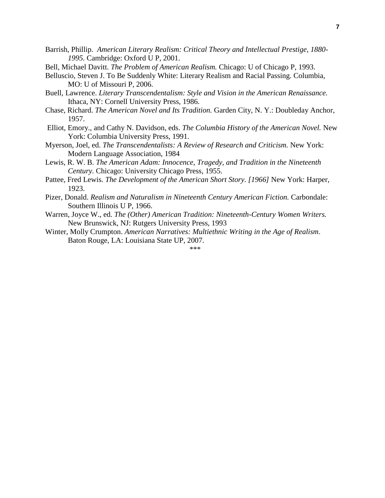- Barrish, Phillip. *American Literary Realism: Critical Theory and Intellectual Prestige, 1880- 1995.* Cambridge: Oxford U P, 2001.
- Bell, Michael Davitt. *The Problem of American Realism.* Chicago: U of Chicago P, 1993.
- Belluscio, Steven J. To Be Suddenly White: Literary Realism and Racial Passing. Columbia, MO: U of Missouri P, 2006.
- Buell, Lawrence. *Literary Transcendentalism: Style and Vision in the American Renaissance.* Ithaca, NY: Cornell University Press, 1986.
- Chase, Richard. *The American Novel and Its Tradition.* Garden City, N. Y.: Doubleday Anchor, 1957.
- Elliot, Emory., and Cathy N. Davidson, eds. *The Columbia History of the American Novel.* New York: Columbia University Press, 1991.
- Myerson, Joel, ed. *The Transcendentalists: A Review of Research and Criticism.* New York: Modern Language Association, 1984
- Lewis, R. W. B. *The American Adam: Innocence, Tragedy, and Tradition in the Nineteenth Century.* Chicago: University Chicago Press, 1955.
- Pattee, Fred Lewis. *The Development of the American Short Story. [1966]* New York: Harper, 1923.
- Pizer, Donald. *Realism and Naturalism in Nineteenth Century American Fiction*. Carbondale: Southern Illinois U P, 1966.
- Warren, Joyce W., ed. *The (Other) American Tradition: Nineteenth-Century Women Writers.* New Brunswick, NJ: Rutgers University Press, 1993
- Winter, Molly Crumpton. *American Narratives: Multiethnic Writing in the Age of Realism*. Baton Rouge, LA: Louisiana State UP, 2007.

\*\*\*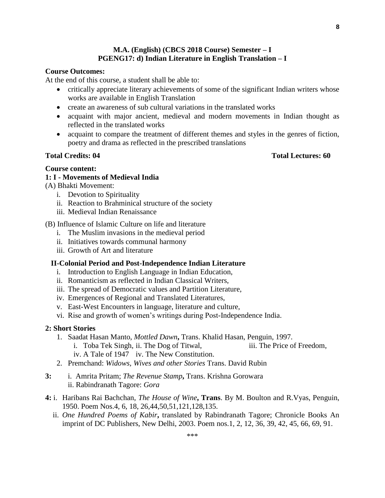# **M.A. (English) (CBCS 2018 Course) Semester – I PGENG17: d) Indian Literature in English Translation – I**

# **Course Outcomes:**

At the end of this course, a student shall be able to:

- critically appreciate literary achievements of some of the significant Indian writers whose works are available in English Translation
- create an awareness of sub cultural variations in the translated works
- acquaint with major ancient, medieval and modern movements in Indian thought as reflected in the translated works
- acquaint to compare the treatment of different themes and styles in the genres of fiction, poetry and drama as reflected in the prescribed translations

**Total Credits: 04 Total Lectures: 60**

### **Course content:**

# **1: I - Movements of Medieval India**

(A) Bhakti Movement:

- i. Devotion to Spirituality
- ii. Reaction to Brahminical structure of the society
- iii. Medieval Indian Renaissance

# (B) Influence of Islamic Culture on life and literature

- i. The Muslim invasions in the medieval period
- ii. Initiatives towards communal harmony
- iii. Growth of Art and literature

### **II-Colonial Period and Post-Independence Indian Literature**

- i. Introduction to English Language in Indian Education,
- ii. Romanticism as reflected in Indian Classical Writers,
- iii. The spread of Democratic values and Partition Literature,
- iv. Emergences of Regional and Translated Literatures,
- v. East-West Encounters in language, literature and culture,
- vi. Rise and growth of women"s writings during Post-Independence India.

### **2: Short Stories**

- 1. Saadat Hasan Manto, *Mottled Dawn***,** Trans. Khalid Hasan, Penguin, 1997. i. Toba Tek Singh, ii. The Dog of Titwal, iii. The Price of Freedom,
	- iv. A Tale of 1947 iv. The New Constitution.
- 2. Premchand: *Widows, Wives and other Stories* Trans. David Rubin
- **3:** i. Amrita Pritam; *The Revenue Stamp***,** Trans. Krishna Gorowara ii. Rabindranath Tagore: *Gora*
- **4:** i. Haribans Rai Bachchan, *The House of Wine***, Trans**. By M. Boulton and R.Vyas, Penguin, 1950. Poem Nos.4, 6, 18, 26,44,50,51,121,128,135.
	- ii. *One Hundred Poems of Kabir***,** translated by Rabindranath Tagore; Chronicle Books An imprint of DC Publishers, New Delhi, 2003. Poem nos.1, 2, 12, 36, 39, 42, 45, 66, 69, 91.